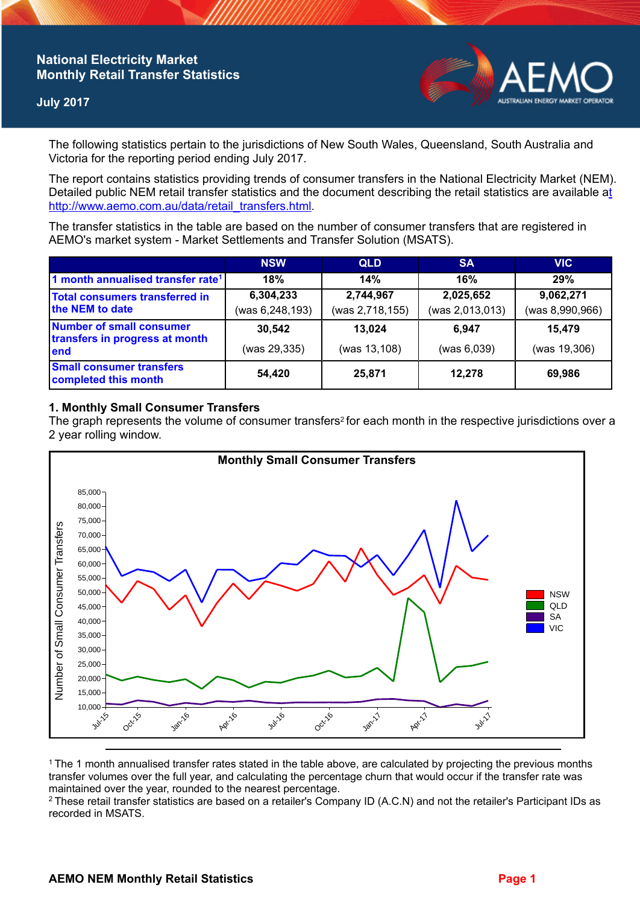# **National Electricity Market Monthly Retail Transfer Statistics**

### **July 2017**



The following statistics pertain to the jurisdictions of New South Wales, Queensland, South Australia and Victoria for the reporting period ending July 2017.

The report contains statistics providing trends of consumer transfers in the National Electricity Market (NEM). Detailed public NEM retail transfer statistics and the document describing the retail statistics are available a[t](http://www.aemo.com.au/data/retail_transfers.html)  http://www.aemo.com.au/data/retail\_transfers.html

The transfer statistics in the table are based on the number of consumer transfers that are registered in AEMO's market system - Market Settlements and Transfer Solution (MSATS).

|                                                                    | <b>NSW</b>                   | <b>QLD</b>                   | <b>SA</b>                    | <b>VIC</b>                   |
|--------------------------------------------------------------------|------------------------------|------------------------------|------------------------------|------------------------------|
| 1 month annualised transfer rate <sup>1</sup>                      | 18%                          | 14%                          | 16%                          | 29%                          |
| Total consumers transferred in<br>the NEM to date                  | 6,304,233<br>(was 6,248,193) | 2,744,967<br>(was 2,718,155) | 2,025,652<br>(was 2,013,013) | 9,062,271<br>(was 8,990,966) |
| Number of small consumer<br>transfers in progress at month<br>lend | 30,542<br>(was 29,335)       | 13,024<br>(was 13,108)       | 6,947<br>(was 6,039)         | 15,479<br>(was 19,306)       |
| <b>Small consumer transfers</b><br>completed this month            | 54,420                       | 25,871                       | 12.278                       | 69,986                       |

#### **1. Monthly Small Consumer Transfers**

The graph represents the volume of consumer transfers<sup>2</sup> for each month in the respective jurisdictions over a 2 year rolling window.



<sup>1</sup>The 1 month annualised transfer rates stated in the table above, are calculated by projecting the previous months transfer volumes over the full year, and calculating the percentage churn that would occur if the transfer rate was maintained over the year, rounded to the nearest percentage.

<sup>2</sup> These retail transfer statistics are based on a retailer's Company ID (A.C.N) and not the retailer's Participant IDs as recorded in MSATS.